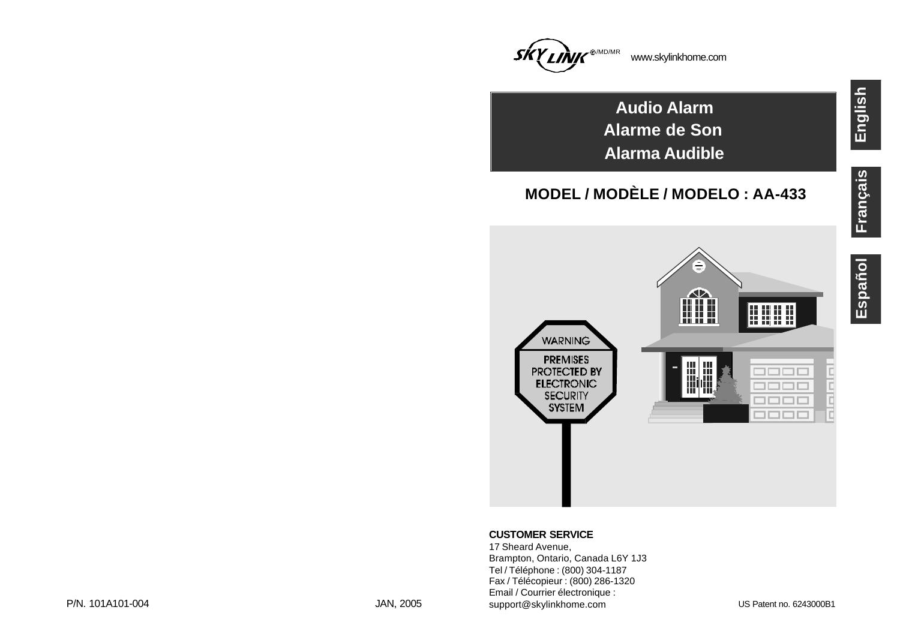

**Audio Alarm Alarme de Son Alarma Audible**

## **MODEL / MODÈLE / MODELO : AA-433**

**English**



## **CUSTOMER SERVICE**

17 Sheard Avenue, Brampton, Ontario, Canada L6Y 1J3 Tel / Téléphone : (800) 304-1187 Fax / Télécopieur : (800) 286-1320 Email / Courrier électronique : support@skylinkhome.com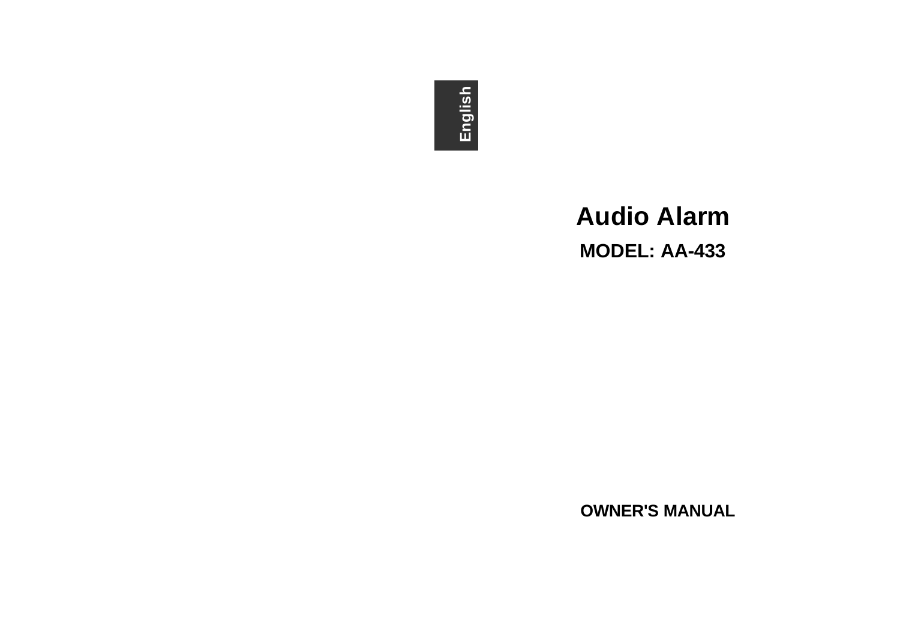# **English**

## **Audio Alarm MODEL: AA-433**

**OWNER'S MANUAL**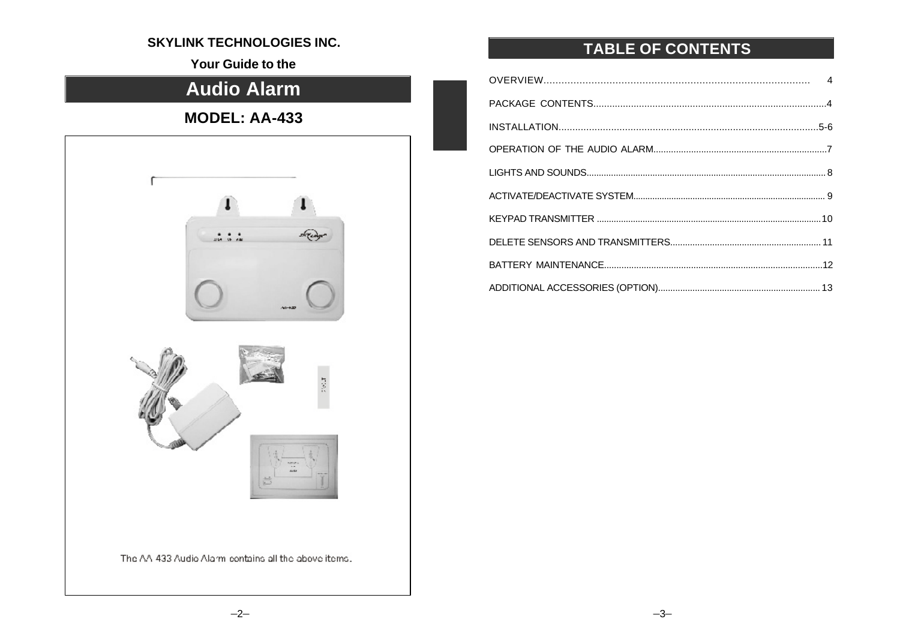## **SKYLINK TECHNOLOGIES INC.**

Your Guide to the

## **Audio Alarm**

## **MODEL: AA-433**



## TABLE OF CONTENTS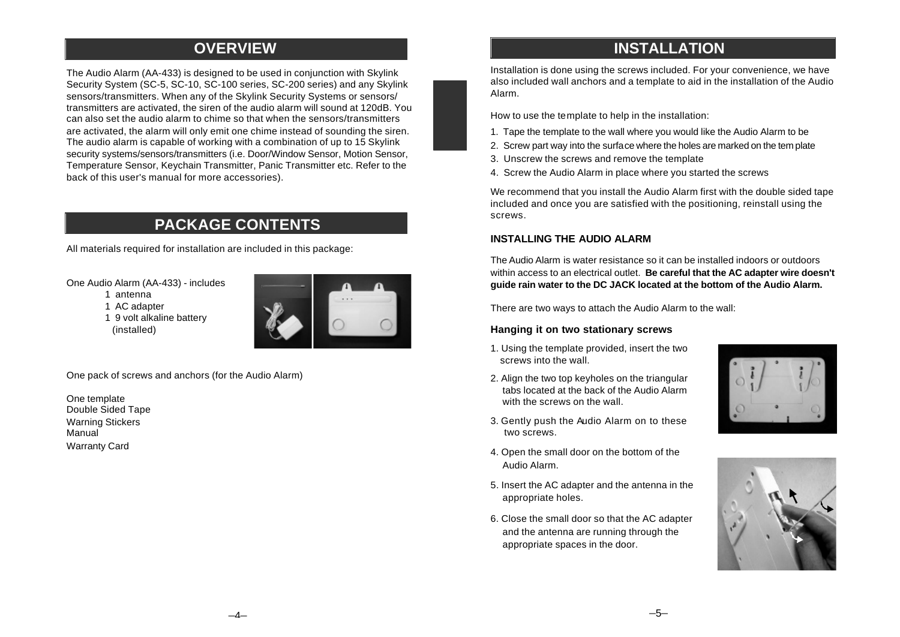## **OVERVIEW**

The Audio Alarm (AA-433) is designed to be used in conjunction with Skylink Security System (SC-5, SC-10, SC-100 series, SC-200 series) and any Skylink sensors/transmitters. When any of the Skylink Security Systems or sensors/ transmitters are activated, the siren of the audio alarm will sound at 120dB. You can also set the audio alarm to chime so that when the sensors/transmitters are activated, the alarm will only emit one chime instead of sounding the siren. The audio alarm is capable of working with a combination of up to 15 Skylink security systems/sensors/transmitters (i.e. Door/Window Sensor, Motion Sensor, Temperature Sensor, Keychain Transmitter, Panic Transmitter etc. Refer to the back of this user's manual for more accessories).

## **PACKAGE CONTENTS**

All materials required for installation are included in this package:

One Audio Alarm (AA-433) - includes

1 antenna

1 AC adapter

1 9 volt alkaline battery (installed)



One pack of screws and anchors (for the Audio Alarm)

One template Double Sided Tape Warning Stickers **Manual** Warranty Card

## **INSTALLATION**

Installation is done using the screws included. For your convenience, we have also included wall anchors and a template to aid in the installation of the Audio Alarm.

How to use the template to help in the installation:

- 1. Tape the template to the wall where you would like the Audio Alarm to be
- 2. Screw part way into the surface where the holes are marked on the tem plate
- 3. Unscrew the screws and remove the template
- 4. Screw the Audio Alarm in place where you started the screws

We recommend that you install the Audio Alarm first with the double sided tape included and once you are satisfied with the positioning, reinstall using the screws.

## **INSTALLING THE AUDIO ALARM**

The Audio Alarm is water resistance so it can be installed indoors or outdoors within access to an electrical outlet. **Be careful that the AC adapter wire doesn't guide rain water to the DC JACK located at the bottom of the Audio Alarm.**

There are two ways to attach the Audio Alarm to the wall:

## **Hanging it on two stationary screws**

- 1. Using the template provided, insert the two screws into the wall.
- 2. Align the two top keyholes on the triangular tabs located at the back of the Audio Alarm with the screws on the wall.
- 3. Gently push the Audio Alarm on to these two screws.
- 4. Open the small door on the bottom of the Audio Alarm.
- 5. Insert the AC adapter and the antenna in the appropriate holes.
- 6. Close the small door so that the AC adapter and the antenna are running through the appropriate spaces in the door.



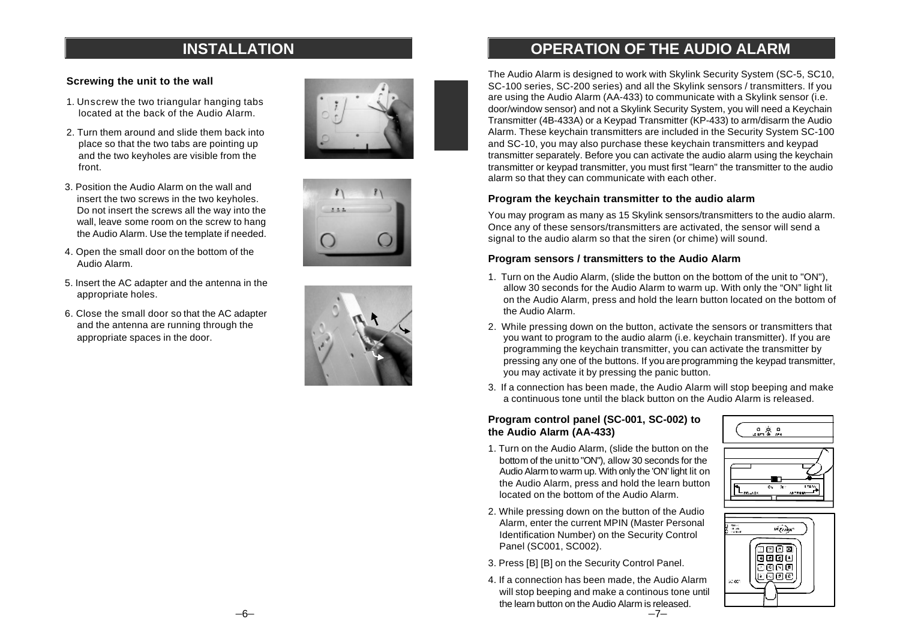## **INSTALLATION**

## **Screwing the unit to the wall**

- 1. Unscrew the two triangular hanging tabs located at the back of the Audio Alarm.
- 2. Turn them around and slide them back into place so that the two tabs are pointing up and the two keyholes are visible from the front.
- 3. Position the Audio Alarm on the wall and insert the two screws in the two keyholes. Do not insert the screws all the way into the wall, leave some room on the screw to hang the Audio Alarm. Use the template if needed.
- 4. Open the small door on the bottom of the Audio Alarm.
- 5. Insert the AC adapter and the antenna in the appropriate holes.
- 6. Close the small door so that the AC adapter and the antenna are running through the appropriate spaces in the door.







## **OPERATION OF THE AUDIO ALARM**

The Audio Alarm is designed to work with Skylink Security System (SC-5, SC10, SC-100 series, SC-200 series) and all the Skylink sensors / transmitters. If you are using the Audio Alarm (AA-433) to communicate with a Skylink sensor (i.e. door/window sensor) and not a Skylink Security System, you will need a Keychain Transmitter (4B-433A) or a Keypad Transmitter (KP-433) to arm/disarm the Audio Alarm. These keychain transmitters are included in the Security System SC-100 and SC-10, you may also purchase these keychain transmitters and keypad transmitter separately. Before you can activate the audio alarm using the keychain transmitter or keypad transmitter, you must first "learn" the transmitter to the audio alarm so that they can communicate with each other.

## **Program the keychain transmitter to the audio alarm**

You may program as many as 15 Skylink sensors/transmitters to the audio alarm. Once any of these sensors/transmitters are activated, the sensor will send a signal to the audio alarm so that the siren (or chime) will sound.

## **Program sensors / transmitters to the Audio Alarm**

- 1. Turn on the Audio Alarm, (slide the button on the bottom of the unit to "ON"), allow 30 seconds for the Audio Alarm to warm up. With only the "ON" light lit on the Audio Alarm, press and hold the learn button located on the bottom of the Audio Alarm.
- 2. While pressing down on the button, activate the sensors or transmitters that you want to program to the audio alarm (i.e. keychain transmitter). If you are programming the keychain transmitter, you can activate the transmitter by pressing any one of the buttons. If you are programming the keypad transmitter, you may activate it by pressing the panic button.
- 3. If a connection has been made, the Audio Alarm will stop beeping and make a continuous tone until the black button on the Audio Alarm is released.

## **Program control panel (SC-001, SC-002) to the Audio Alarm (AA-433)**

- 1. Turn on the Audio Alarm, (slide the button on the bottom of the unit to "ON"), allow 30 seconds for the Audio Alarm to warm up. With only the 'ON' light lit on the Audio Alarm, press and hold the learn button located on the bottom of the Audio Alarm.
- 2. While pressing down on the button of the Audio Alarm, enter the current MPIN (Master Personal Identification Number) on the Security Control Panel (SC001, SC002).
- 3. Press [B] [B] on the Security Control Panel.
- 4. If a connection has been made, the Audio Alarm will stop beeping and make a continous tone until the learn button on the Audio Alarm is released.



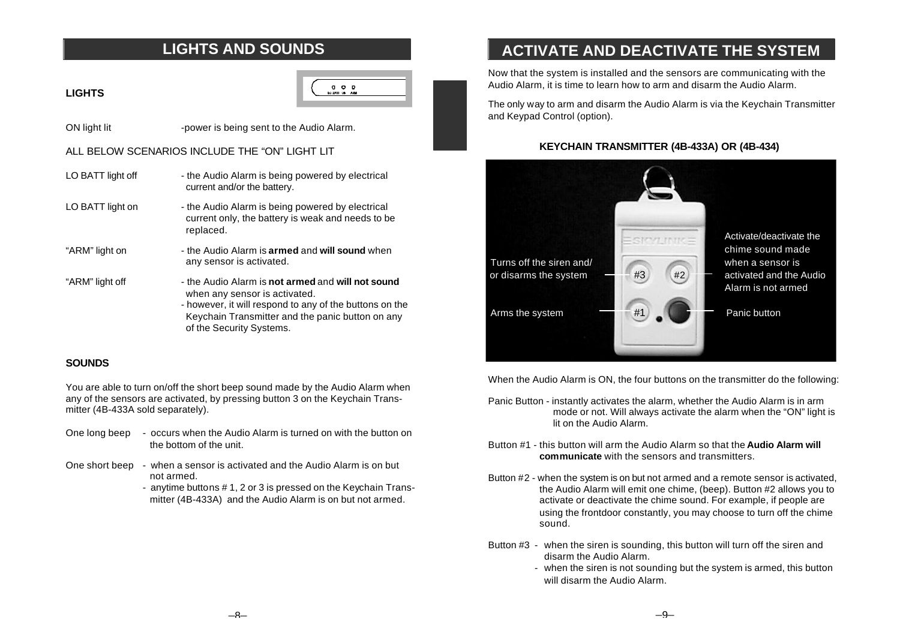## **LIGHTS AND SOUNDS**

## **LIGHTS**

 $0$   $0$   $0$ 

ON light lit -power is being sent to the Audio Alarm.

## ALL BELOW SCENARIOS INCLUDE THE "ON" LIGHT LIT

- LO BATT light off the Audio Alarm is being powered by electrical current and/or the battery.
- LO BATT light on the Audio Alarm is being powered by electrical current only, the battery is weak and needs to be replaced.
- "ARM" light on the Audio Alarm is **armed** and **will sound** when any sensor is activated.
- "ARM" light off the Audio Alarm is **not armed** and **will not sound** when any sensor is activated.
	- however, it will respond to any of the buttons on the Keychain Transmitter and the panic button on any of the Security Systems.

## **SOUNDS**

You are able to turn on/off the short beep sound made by the Audio Alarm when any of the sensors are activated, by pressing button 3 on the Keychain Transmitter (4B-433A sold separately).

- One long beep occurs when the Audio Alarm is turned on with the button on the bottom of the unit.
- One short beep when a sensor is activated and the Audio Alarm is on but not armed.
	- anytime buttons # 1, 2 or 3 is pressed on the Keychain Trans mitter (4B-433A) and the Audio Alarm is on but not armed.

## **ACTIVATE AND DEACTIVATE THE SYSTEM**

Now that the system is installed and the sensors are communicating with the Audio Alarm, it is time to learn how to arm and disarm the Audio Alarm.

The only way to arm and disarm the Audio Alarm is via the Keychain Transmitter and Keypad Control (option).

## **KEYCHAIN TRANSMITTER (4B-433A) OR (4B-434)**



When the Audio Alarm is ON, the four buttons on the transmitter do the following:

- Panic Button instantly activates the alarm, whether the Audio Alarm is in arm mode or not. Will always activate the alarm when the "ON" light is lit on the Audio Alarm.
- Button #1 this button will arm the Audio Alarm so that the **Audio Alarm will communicate** with the sensors and transmitters.
- Button #2 when the system is on but not armed and a remote sensor is activated, the Audio Alarm will emit one chime, (beep). Button #2 allows you to activate or deactivate the chime sound. For example, if people are using the frontdoor constantly, you may choose to turn off the chime sound.
- Button #3 when the siren is sounding, this button will turn off the siren and disarm the Audio Alarm.
	- when the siren is not sounding but the system is armed, this button will disarm the Audio Alarm.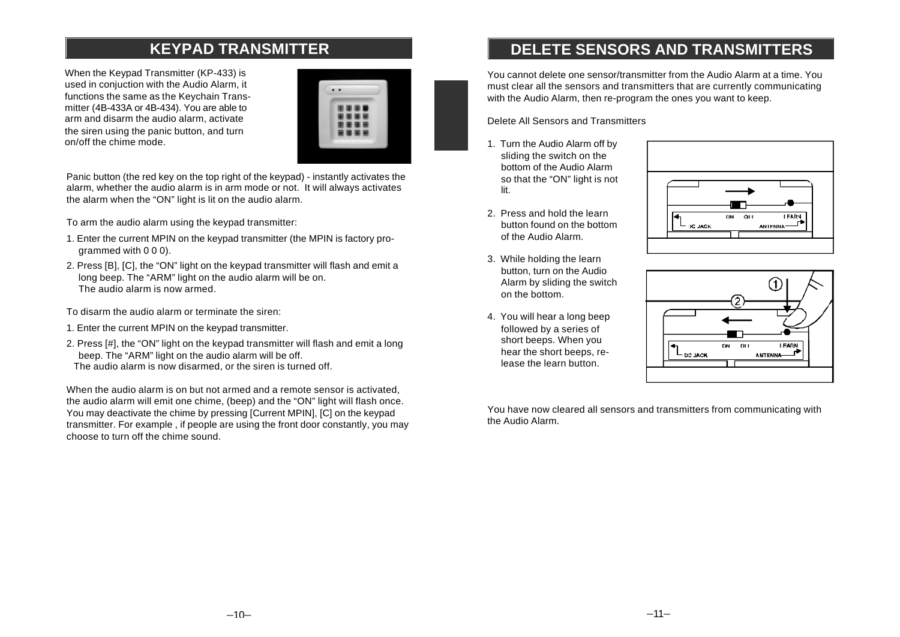## **KEYPAD TRANSMITTER**

When the Keypad Transmitter (KP-433) is used in conjuction with the Audio Alarm, it functions the same as the Keychain Transmitter (4B-433A or 4B-434). You are able to arm and disarm the audio alarm, activate the siren using the panic button, and turn on/off the chime mode.



Panic button (the red key on the top right of the keypad) - instantly activates the alarm, whether the audio alarm is in arm mode or not. It will always activates the alarm when the "ON" light is lit on the audio alarm.

To arm the audio alarm using the keypad transmitter:

- 1. Enter the current MPIN on the keypad transmitter (the MPIN is factory programmed with 0 0 0).
- 2. Press [B], [C], the "ON" light on the keypad transmitter will flash and emit a long beep. The "ARM" light on the audio alarm will be on. The audio alarm is now armed.

To disarm the audio alarm or terminate the siren:

- 1. Enter the current MPIN on the keypad transmitter.
- 2. Press [#], the "ON" light on the keypad transmitter will flash and emit a long beep. The "ARM" light on the audio alarm will be off. The audio alarm is now disarmed, or the siren is turned off.

When the audio alarm is on but not armed and a remote sensor is activated the audio alarm will emit one chime, (beep) and the "ON" light will flash once. You may deactivate the chime by pressing [Current MPIN], [C] on the keypad transmitter. For example , if people are using the front door constantly, you may choose to turn off the chime sound.

## **DELETE SENSORS AND TRANSMITTERS**

You cannot delete one sensor/transmitter from the Audio Alarm at a time. You must clear all the sensors and transmitters that are currently communicating with the Audio Alarm, then re-program the ones you want to keep.

Delete All Sensors and Transmitters

- 1. Turn the Audio Alarm off by sliding the switch on the bottom of the Audio Alarm so that the "ON" light is not lit.
- 2. Press and hold the learn button found on the bottom of the Audio Alarm.
- 3. While holding the learn button, turn on the Audio Alarm by sliding the switch on the bottom.
- 4. You will hear a long beep followed by a series of short beeps. When you hear the short beeps, release the learn button.





You have now cleared all sensors and transmitters from communicating with the Audio Alarm.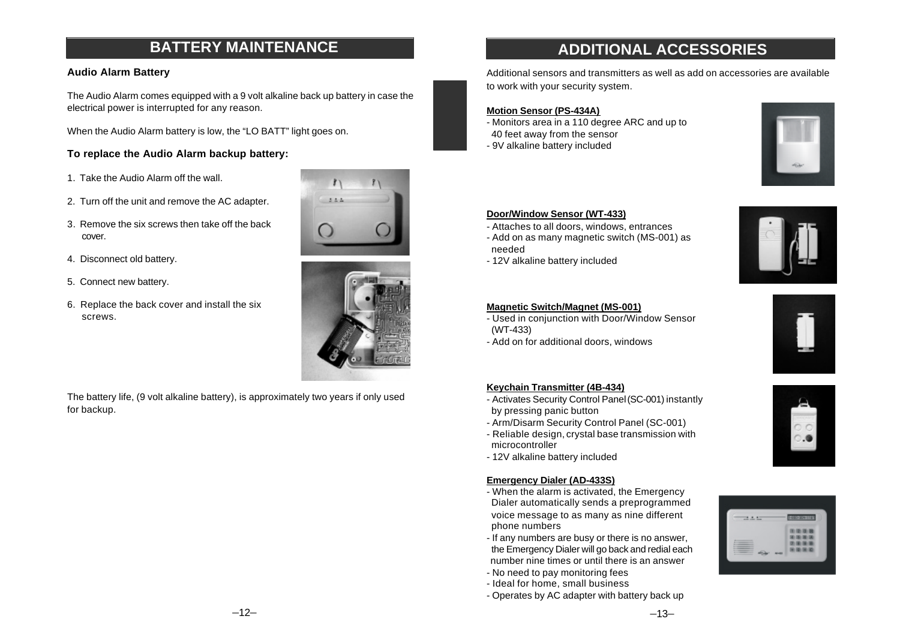## **BATTERY MAINTENANCE**

## **Audio Alarm Battery**

The Audio Alarm comes equipped with a 9 volt alkaline back up battery in case the electrical power is interrupted for any reason.

When the Audio Alarm battery is low, the "LO BATT" light goes on.

## **To replace the Audio Alarm backup battery:**

- 1. Take the Audio Alarm off the wall.
- 2. Turn off the unit and remove the AC adapter.
- 3. Remove the six screws then take off the back cover.
- 4. Disconnect old battery.
- 5. Connect new battery.
- 6. Replace the back cover and install the six screws.





The battery life, (9 volt alkaline battery), is approximately two years if only used for backup.

## **ADDITIONAL ACCESSORIES**

Additional sensors and transmitters as well as add on accessories are available to work with your security system.

#### **Motion Sensor (PS-434A)**

- Monitors area in a 110 degree ARC and up to 40 feet away from the sensor - 9V alkaline battery included



## **Door/Window Sensor (WT-433)**

- Attaches to all doors, windows, entrances - Add on as many magnetic switch (MS-001) as
- needed
- 12V alkaline battery included



#### **Magnetic Switch/Magnet (MS-001)**

- Used in conjunction with Door/Window Sensor (WT-433)
- Add on for additional doors, windows

#### **Keychain Transmitter (4B-434)**

- Activates Security Control Panel (SC-001) instantly by pressing panic button
- Arm/Disarm Security Control Panel (SC-001)
- Reliable design, crystal base transmission with microcontroller
- 12V alkaline battery included

## **Emergency Dialer (AD-433S)**

- When the alarm is activated, the Emergency Dialer automatically sends a preprogrammed voice message to as many as nine different phone numbers
- If any numbers are busy or there is no answer, the Emergency Dialer will go back and redial each number nine times or until there is an answer
- No need to pay monitoring fees
- Ideal for home, small business
- Operates by AC adapter with battery back up